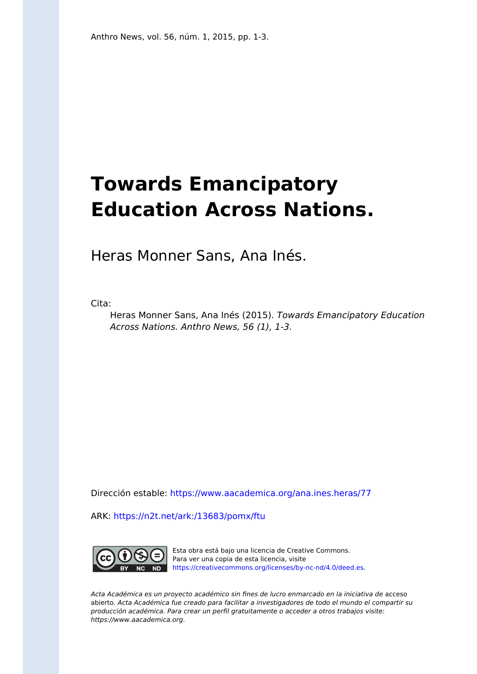## **Towards Emancipatory Education Across Nations.**

Heras Monner Sans, Ana Inés.

Cita:

Heras Monner Sans, Ana Inés (2015). Towards Emancipatory Education Across Nations. Anthro News, 56 (1), 1-3.

Dirección estable:<https://www.aacademica.org/ana.ines.heras/77>

ARK: <https://n2t.net/ark:/13683/pomx/ftu>



Esta obra está bajo una licencia de Creative Commons. Para ver una copia de esta licencia, visite [https://creativecommons.org/licenses/by-nc-nd/4.0/deed.es.](https://creativecommons.org/licenses/by-nc-nd/4.0/deed.es)

Acta Académica es un proyecto académico sin fines de lucro enmarcado en la iniciativa de acceso abierto. Acta Académica fue creado para facilitar a investigadores de todo el mundo el compartir su producción académica. Para crear un perfil gratuitamente o acceder a otros trabajos visite: https://www.aacademica.org.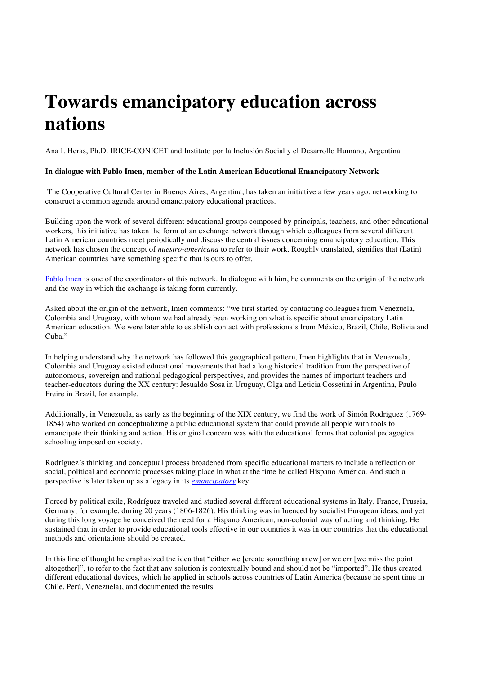## **Towards emancipatory education across nations**

Ana I. Heras, Ph.D. IRICE-CONICET and Instituto por la Inclusión Social y el Desarrollo Humano, Argentina

## **In dialogue with Pablo Imen, member of the Latin American Educational Emancipatory Network**

The Cooperative Cultural Center in Buenos Aires, Argentina, has taken an initiative a few years ago: networking to construct a common agenda around emancipatory educational practices.

Building upon the work of several different educational groups composed by principals, teachers, and other educational workers, this initiative has taken the form of an exchange network through which colleagues from several different Latin American countries meet periodically and discuss the central issues concerning emancipatory education. This network has chosen the concept of *nuestro-americana* to refer to their work. Roughly translated, signifies that (Latin) American countries have something specific that is ours to offer.

Pablo Imen is one of the coordinators of this network. In dialogue with him, he comments on the origin of the network and the way in which the exchange is taking form currently.

Asked about the origin of the network, Imen comments: "we first started by contacting colleagues from Venezuela, Colombia and Uruguay, with whom we had already been working on what is specific about emancipatory Latin American education. We were later able to establish contact with professionals from México, Brazil, Chile, Bolivia and Cuba."

In helping understand why the network has followed this geographical pattern, Imen highlights that in Venezuela, Colombia and Uruguay existed educational movements that had a long historical tradition from the perspective of autonomous, sovereign and national pedagogical perspectives, and provides the names of important teachers and teacher-educators during the XX century: Jesualdo Sosa in Uruguay, Olga and Leticia Cossetini in Argentina, Paulo Freire in Brazil, for example.

Additionally, in Venezuela, as early as the beginning of the XIX century, we find the work of Simón Rodríguez (1769- 1854) who worked on conceptualizing a public educational system that could provide all people with tools to emancipate their thinking and action. His original concern was with the educational forms that colonial pedagogical schooling imposed on society.

Rodríguez´s thinking and conceptual process broadened from specific educational matters to include a reflection on social, political and economic processes taking place in what at the time he called Hispano América. And such a perspective is later taken up as a legacy in its *emancipatory* key.

Forced by political exile, Rodríguez traveled and studied several different educational systems in Italy, France, Prussia, Germany, for example, during 20 years (1806-1826). His thinking was influenced by socialist European ideas, and yet during this long voyage he conceived the need for a Hispano American, non-colonial way of acting and thinking. He sustained that in order to provide educational tools effective in our countries it was in our countries that the educational methods and orientations should be created.

In this line of thought he emphasized the idea that "either we [create something anew] or we err [we miss the point altogether]", to refer to the fact that any solution is contextually bound and should not be "imported". He thus created different educational devices, which he applied in schools across countries of Latin America (because he spent time in Chile, Perú, Venezuela), and documented the results.